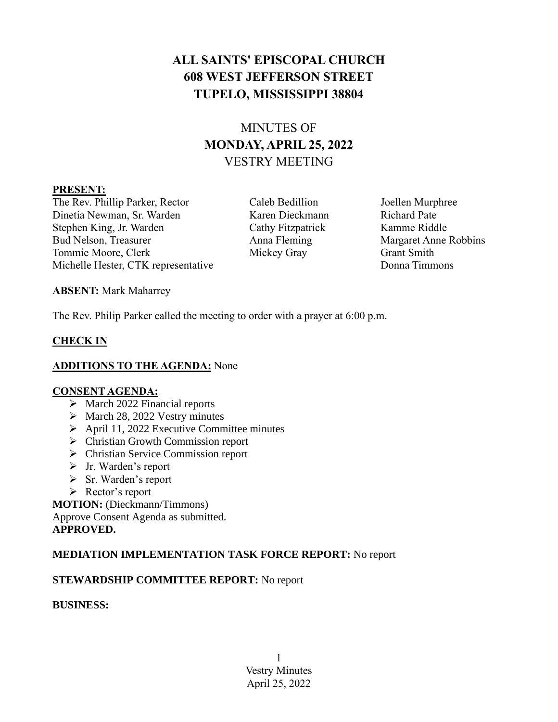# **ALL SAINTS' EPISCOPAL CHURCH 608 WEST JEFFERSON STREET TUPELO, MISSISSIPPI 38804**

# MINUTES OF **MONDAY, APRIL 25, 2022** VESTRY MEETING

#### **PRESENT:**

The Rev. Phillip Parker, Rector Caleb Bedillion Joellen Murphree Dinetia Newman, Sr. Warden Karen Dieckmann Richard Pate Stephen King, Jr. Warden Cathy Fitzpatrick Kamme Riddle Bud Nelson, Treasurer Anna Fleming Margaret Anne Robbins Tommie Moore, Clerk Mickey Gray Grant Smith Michelle Hester, CTK representative Donna Timmons

**ABSENT:** Mark Maharrey

The Rev. Philip Parker called the meeting to order with a prayer at 6:00 p.m.

# **CHECK IN**

## **ADDITIONS TO THE AGENDA:** None

## **CONSENT AGENDA:**

- ➢ March 2022 Financial reports
- ➢ March 28, 2022 Vestry minutes
- ➢ April 11, 2022 Executive Committee minutes
- ➢ Christian Growth Commission report
- ➢ Christian Service Commission report
- ➢ Jr. Warden's report
- ➢ Sr. Warden's report
- ➢ Rector's report

**MOTION:** (Dieckmann/Timmons) Approve Consent Agenda as submitted. **APPROVED.**

# **MEDIATION IMPLEMENTATION TASK FORCE REPORT:** No report

# **STEWARDSHIP COMMITTEE REPORT:** No report

**BUSINESS:**

1 Vestry Minutes April 25, 2022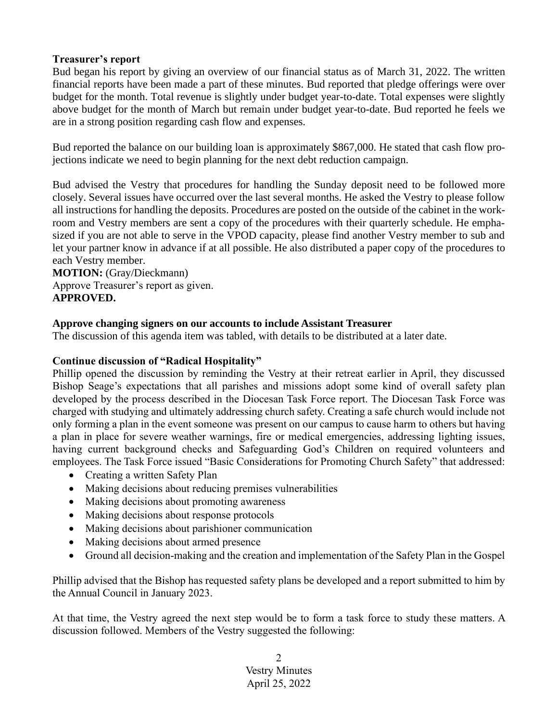## **Treasurer's report**

Bud began his report by giving an overview of our financial status as of March 31, 2022. The written financial reports have been made a part of these minutes. Bud reported that pledge offerings were over budget for the month. Total revenue is slightly under budget year-to-date. Total expenses were slightly above budget for the month of March but remain under budget year-to-date. Bud reported he feels we are in a strong position regarding cash flow and expenses.

Bud reported the balance on our building loan is approximately \$867,000. He stated that cash flow projections indicate we need to begin planning for the next debt reduction campaign.

Bud advised the Vestry that procedures for handling the Sunday deposit need to be followed more closely. Several issues have occurred over the last several months. He asked the Vestry to please follow all instructions for handling the deposits. Procedures are posted on the outside of the cabinet in the workroom and Vestry members are sent a copy of the procedures with their quarterly schedule. He emphasized if you are not able to serve in the VPOD capacity, please find another Vestry member to sub and let your partner know in advance if at all possible. He also distributed a paper copy of the procedures to each Vestry member.

**MOTION:** (Gray/Dieckmann) Approve Treasurer's report as given. **APPROVED.**

#### **Approve changing signers on our accounts to include Assistant Treasurer**

The discussion of this agenda item was tabled, with details to be distributed at a later date.

#### **Continue discussion of "Radical Hospitality"**

Phillip opened the discussion by reminding the Vestry at their retreat earlier in April, they discussed Bishop Seage's expectations that all parishes and missions adopt some kind of overall safety plan developed by the process described in the Diocesan Task Force report. The Diocesan Task Force was charged with studying and ultimately addressing church safety. Creating a safe church would include not only forming a plan in the event someone was present on our campus to cause harm to others but having a plan in place for severe weather warnings, fire or medical emergencies, addressing lighting issues, having current background checks and Safeguarding God's Children on required volunteers and employees. The Task Force issued "Basic Considerations for Promoting Church Safety" that addressed:

- Creating a written Safety Plan
- Making decisions about reducing premises vulnerabilities
- Making decisions about promoting awareness
- Making decisions about response protocols
- Making decisions about parishioner communication
- Making decisions about armed presence
- Ground all decision-making and the creation and implementation of the Safety Plan in the Gospel

Phillip advised that the Bishop has requested safety plans be developed and a report submitted to him by the Annual Council in January 2023.

At that time, the Vestry agreed the next step would be to form a task force to study these matters. A discussion followed. Members of the Vestry suggested the following:

> 2 Vestry Minutes April 25, 2022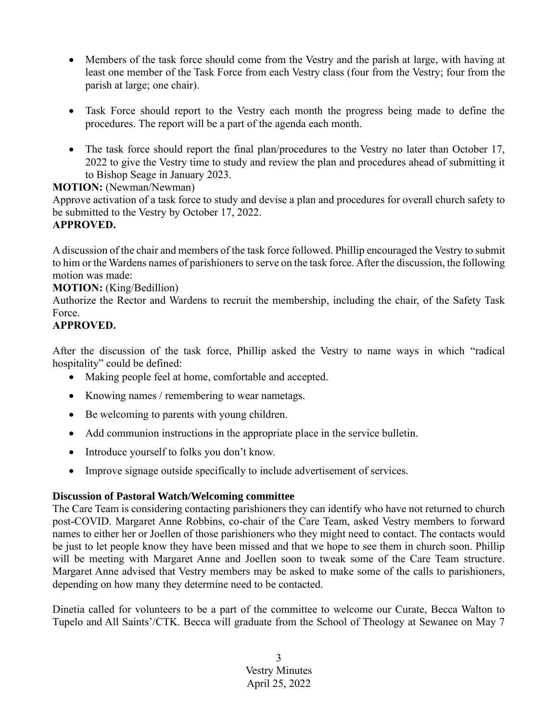- Members of the task force should come from the Vestry and the parish at large, with having at least one member of the Task Force from each Vestry class (four from the Vestry; four from the parish at large; one chair).
- Task Force should report to the Vestry each month the progress being made to define the procedures. The report will be a part of the agenda each month.
- The task force should report the final plan/procedures to the Vestry no later than October 17, 2022 to give the Vestry time to study and review the plan and procedures ahead of submitting it to Bishop Seage in January 2023.

# **MOTION:** (Newman/Newman)

Approve activation of a task force to study and devise a plan and procedures for overall church safety to be submitted to the Vestry by October 17, 2022. **APPROVED.**

## A discussion of the chair and members of the task force followed. Phillip encouraged the Vestry to submit to him or the Wardens names of parishioners to serve on the task force. After the discussion, the following motion was made:

## **MOTION:** (King/Bedillion)

Authorize the Rector and Wardens to recruit the membership, including the chair, of the Safety Task Force.

# **APPROVED.**

After the discussion of the task force, Phillip asked the Vestry to name ways in which "radical hospitality" could be defined:

- Making people feel at home, comfortable and accepted.
- Knowing names / remembering to wear nametags.
- Be welcoming to parents with young children.
- Add communion instructions in the appropriate place in the service bulletin.
- Introduce yourself to folks you don't know.
- Improve signage outside specifically to include advertisement of services.

## **Discussion of Pastoral Watch/Welcoming committee**

The Care Team is considering contacting parishioners they can identify who have not returned to church post-COVID. Margaret Anne Robbins, co-chair of the Care Team, asked Vestry members to forward names to either her or Joellen of those parishioners who they might need to contact. The contacts would be just to let people know they have been missed and that we hope to see them in church soon. Phillip will be meeting with Margaret Anne and Joellen soon to tweak some of the Care Team structure. Margaret Anne advised that Vestry members may be asked to make some of the calls to parishioners, depending on how many they determine need to be contacted.

Dinetia called for volunteers to be a part of the committee to welcome our Curate, Becca Walton to Tupelo and All Saints'/CTK. Becca will graduate from the School of Theology at Sewanee on May 7

> 3 Vestry Minutes April 25, 2022